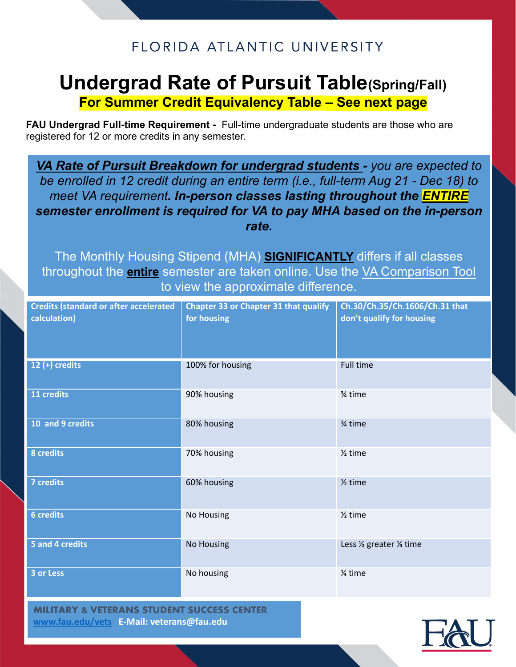## FLORIDA ATLANTIC UNIVERSITY

# **Undergrad Rate of Pursuit Table(Spring/Fall)**

**For Summer Credit Equivalency Table – See next page**

**FAU Undergrad Full-time Requirement -** Full-time undergraduate students are those who are registered for 12 or more credits in any semester.

*VA Rate of Pursuit Breakdown for undergrad students - you are expected to be enrolled in 12 credit during an entire term (i.e., full-term Aug 21 - Dec 18) to meet VA requirement. In-person classes lasting throughout the ENTIRE semester enrollment is required for VA to pay MHA based on the in-person rate***.**

The Monthly Housing Stipend (MHA) **SIGNIFICANTLY** differs if all classes throughout the **entire** semester are taken online. Use the [VA Comparison Tool](https://www.va.gov/education/gi-bill-comparison-tool/)  to view the approximate difference.

| <b>Credits (standard or after accelerated</b><br>calculation) | <b>Chapter 33 or Chapter 31 that qualify</b><br>for housing | Ch.30/Ch.35/Ch.1606/Ch.31 that<br>don't qualify for housing |
|---------------------------------------------------------------|-------------------------------------------------------------|-------------------------------------------------------------|
| $12 (+)$ credits                                              | 100% for housing                                            | <b>Full time</b>                                            |
| 11 credits                                                    | 90% housing                                                 | 3⁄4 time                                                    |
| 10 and 9 credits                                              | 80% housing                                                 | 3⁄4 time                                                    |
| 8 credits                                                     | 70% housing                                                 | $\frac{1}{2}$ time                                          |
| 7 credits                                                     | 60% housing                                                 | $\frac{1}{2}$ time                                          |
| <b>6</b> credits                                              | No Housing                                                  | $\frac{1}{2}$ time                                          |
| 5 and 4 credits                                               | No Housing                                                  | Less 1/2 greater 1/4 time                                   |
| 3 or Less                                                     | No housing                                                  | 1⁄4 time                                                    |

**MILITARY & VETERANS STUDENT SUCCESS CENTER [www.fau.edu/vets](http://www.fau.edu/vets) E-Mail: veterans@fau.edu**

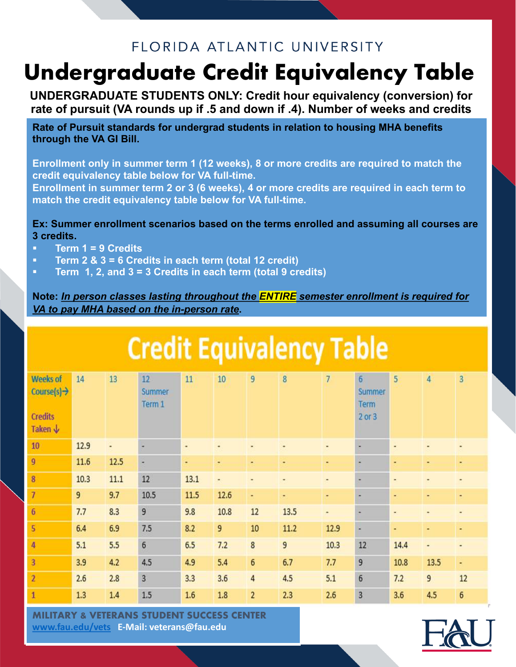## FLORIDA ATLANTIC UNIVERSITY

# **Undergraduate Credit Equivalency Table**

**UNDERGRADUATE STUDENTS ONLY: Credit hour equivalency (conversion) for rate of pursuit (VA rounds up if .5 and down if .4). Number of weeks and credits**

**Rate of Pursuit standards for undergrad students in relation to housing MHA benefits through the VA GI Bill.** 

**Enrollment only in summer term 1 (12 weeks), 8 or more credits are required to match the credit equivalency table below for VA full-time.**

**Enrollment in summer term 2 or 3 (6 weeks), 4 or more credits are required in each term to match the credit equivalency table below for VA full-time.**

#### **Ex: Summer enrollment scenarios based on the terms enrolled and assuming all courses are 3 credits.**

- § **Term 1 = 9 Credits**
- § **Term 2 & 3 = 6 Credits in each term (total 12 credit)**
- § **Term 1, 2, and 3 = 3 Credits in each term (total 9 credits)**

**Note:** *In person classes lasting throughout the ENTIRE semester enrollment is required for VA to pay MHA based on the in-person rate***.**

| <b>Credit Equivalency Table</b>                                         |      |      |                        |      |      |                |      |                |                                                  |      |                |                |
|-------------------------------------------------------------------------|------|------|------------------------|------|------|----------------|------|----------------|--------------------------------------------------|------|----------------|----------------|
| <b>Weeks of</b><br>Course[s] $\rightarrow$<br><b>Credits</b><br>Taken ↓ | 14   | 13   | 12<br>Summer<br>Term 1 | 11   | 10   | 9              | 8    | $\overline{7}$ | $6 \overline{6}$<br>Summer<br>Term<br>$2$ or $3$ | 5    | $\overline{4}$ | $\overline{3}$ |
| 10                                                                      | 12.9 | ٠    | ×                      | ٠    |      | ٠              |      |                | ۲                                                | ٠    |                |                |
| $\overline{9}$                                                          | 11.6 | 12.5 | ×                      | ٠    | ٠    |                |      |                | ŧ                                                | ٠    |                |                |
| 8                                                                       | 10.3 | 11.1 | 12                     | 13.1 | ٠    | ٠              | ٠    | ۰              | ۰                                                | ٠    | ٠              | ٠              |
| 7                                                                       | 9    | 9.7  | 10.5                   | 11.5 | 12.6 | ٠              | ۰    | ٠              | ×                                                | ٠    | ٠              | ٠              |
| 6                                                                       | 7.7  | 8.3  | $\overline{9}$         | 9.8  | 10.8 | 12             | 13.5 | ٠              | ٠                                                | ٠    |                |                |
| $\overline{\mathbf{5}}$                                                 | 6.4  | 6.9  | 7.5                    | 8.2  | 9    | 10             | 11.2 | 12.9           | ٠                                                | ٠    | ۰              | ٠              |
| 4                                                                       | 5.1  | 5.5  | $6\phantom{1}$         | 6.5  | 7.2  | 8              | 9    | 10.3           | 12                                               | 14.4 | ٠              |                |
| $\overline{3}$                                                          | 3.9  | 4.2  | 4.5                    | 4.9  | 5.4  | $6\phantom{1}$ | 6.7  | 7.7            | 9                                                | 10.8 | 13.5           | ٠              |
| $\overline{2}$                                                          | 2.6  | 2.8  | $\overline{3}$         | 3.3  | 3.6  | $\overline{4}$ | 4.5  | 5.1            | 6                                                | 7.2  | 9              | 12             |
| $\mathbf{1}$                                                            | 1.3  | 1.4  | 1.5                    | 1.6  | 1.8  | $\overline{2}$ | 2.3  | 2.6            | 3                                                | 3.6  | 4.5            | $6\phantom{a}$ |

**MILITARY & VETERANS STUDENT SUCCESS CENTER [www.fau.edu/vets](http://www.fau.edu/vets) E-Mail: veterans@fau.edu**